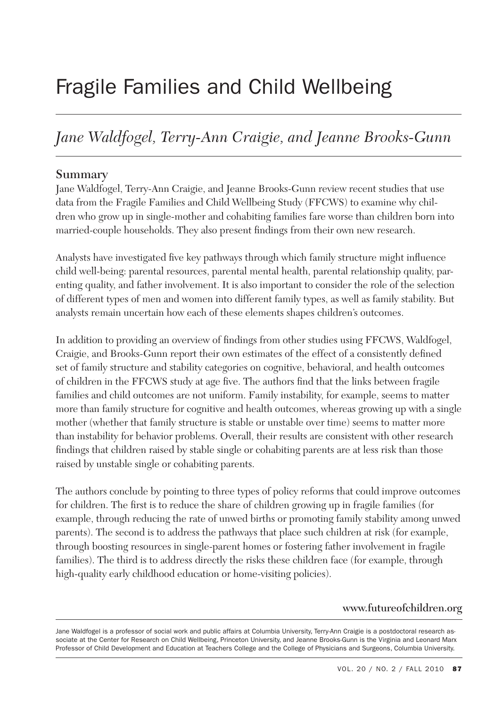# Fragile Families and Child Wellbeing

## *Jane Waldfogel, Terry-Ann Craigie, and Jeanne Brooks-Gunn*

#### **Summary**

Jane Waldfogel, Terry-Ann Craigie, and Jeanne Brooks-Gunn review recent studies that use data from the Fragile Families and Child Wellbeing Study (FFCWS) to examine why children who grow up in single-mother and cohabiting families fare worse than children born into married-couple households. They also present findings from their own new research.

Analysts have investigated five key pathways through which family structure might influence child well-being: parental resources, parental mental health, parental relationship quality, parenting quality, and father involvement. It is also important to consider the role of the selection of different types of men and women into different family types, as well as family stability. But analysts remain uncertain how each of these elements shapes children's outcomes.

In addition to providing an overview of findings from other studies using FFCWS, Waldfogel, Craigie, and Brooks-Gunn report their own estimates of the effect of a consistently defined set of family structure and stability categories on cognitive, behavioral, and health outcomes of children in the FFCWS study at age five. The authors find that the links between fragile families and child outcomes are not uniform. Family instability, for example, seems to matter more than family structure for cognitive and health outcomes, whereas growing up with a single mother (whether that family structure is stable or unstable over time) seems to matter more than instability for behavior problems. Overall, their results are consistent with other research findings that children raised by stable single or cohabiting parents are at less risk than those raised by unstable single or cohabiting parents.

The authors conclude by pointing to three types of policy reforms that could improve outcomes for children. The first is to reduce the share of children growing up in fragile families (for example, through reducing the rate of unwed births or promoting family stability among unwed parents). The second is to address the pathways that place such children at risk (for example, through boosting resources in single-parent homes or fostering father involvement in fragile families). The third is to address directly the risks these children face (for example, through high-quality early childhood education or home-visiting policies).

#### **www.futureofchildren.org**

Jane Waldfogel is a professor of social work and public affairs at Columbia University, Terry-Ann Craigie is a postdoctoral research associate at the Center for Research on Child Wellbeing, Princeton University, and Jeanne Brooks-Gunn is the Virginia and Leonard Marx Professor of Child Development and Education at Teachers College and the College of Physicians and Surgeons, Columbia University.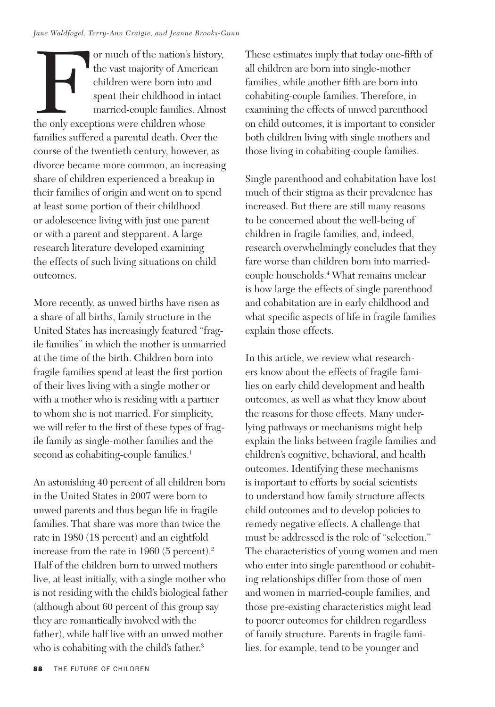For much of the nation's history,<br>the vast majority of American<br>children were born into and<br>spent their childhood in intact<br>married-couple families. Almost<br>the only exceptions were children whose the vast majority of American children were born into and spent their childhood in intact married-couple families. Almost the only exceptions were children whose families suffered a parental death. Over the course of the twentieth century, however, as divorce became more common, an increasing share of children experienced a breakup in their families of origin and went on to spend at least some portion of their childhood or adolescence living with just one parent or with a parent and stepparent. A large research literature developed examining the effects of such living situations on child outcomes.

More recently, as unwed births have risen as a share of all births, family structure in the United States has increasingly featured "fragile families" in which the mother is unmarried at the time of the birth. Children born into fragile families spend at least the first portion of their lives living with a single mother or with a mother who is residing with a partner to whom she is not married. For simplicity, we will refer to the first of these types of fragile family as single-mother families and the second as cohabiting-couple families.<sup>1</sup>

An astonishing 40 percent of all children born in the United States in 2007 were born to unwed parents and thus began life in fragile families. That share was more than twice the rate in 1980 (18 percent) and an eightfold increase from the rate in 1960 (5 percent).2 Half of the children born to unwed mothers live, at least initially, with a single mother who is not residing with the child's biological father (although about 60 percent of this group say they are romantically involved with the father), while half live with an unwed mother who is cohabiting with the child's father.<sup>3</sup>

These estimates imply that today one-fifth of all children are born into single-mother families, while another fifth are born into cohabiting-couple families. Therefore, in examining the effects of unwed parenthood on child outcomes, it is important to consider both children living with single mothers and those living in cohabiting-couple families.

Single parenthood and cohabitation have lost much of their stigma as their prevalence has increased. But there are still many reasons to be concerned about the well-being of children in fragile families, and, indeed, research overwhelmingly concludes that they fare worse than children born into marriedcouple households.4 What remains unclear is how large the effects of single parenthood and cohabitation are in early childhood and what specific aspects of life in fragile families explain those effects.

In this article, we review what researchers know about the effects of fragile families on early child development and health outcomes, as well as what they know about the reasons for those effects. Many underlying pathways or mechanisms might help explain the links between fragile families and children's cognitive, behavioral, and health outcomes. Identifying these mechanisms is important to efforts by social scientists to understand how family structure affects child outcomes and to develop policies to remedy negative effects. A challenge that must be addressed is the role of "selection." The characteristics of young women and men who enter into single parenthood or cohabiting relationships differ from those of men and women in married-couple families, and those pre-existing characteristics might lead to poorer outcomes for children regardless of family structure. Parents in fragile families, for example, tend to be younger and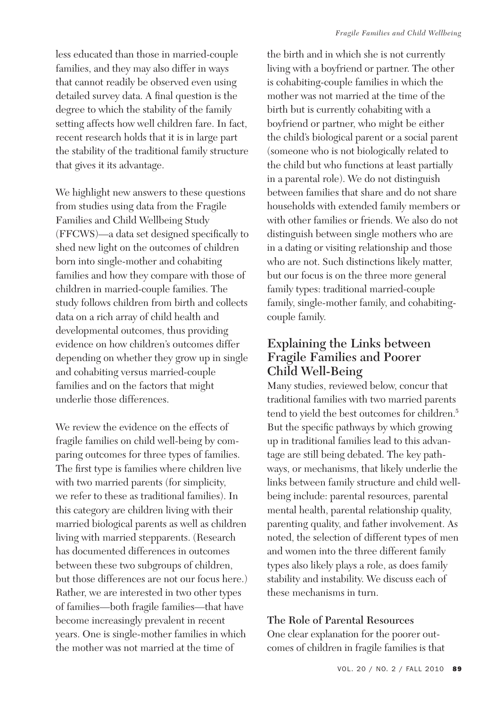less educated than those in married-couple families, and they may also differ in ways that cannot readily be observed even using detailed survey data. A final question is the degree to which the stability of the family setting affects how well children fare. In fact, recent research holds that it is in large part the stability of the traditional family structure that gives it its advantage.

We highlight new answers to these questions from studies using data from the Fragile Families and Child Wellbeing Study (FFCWS)—a data set designed specifically to shed new light on the outcomes of children born into single-mother and cohabiting families and how they compare with those of children in married-couple families. The study follows children from birth and collects data on a rich array of child health and developmental outcomes, thus providing evidence on how children's outcomes differ depending on whether they grow up in single and cohabiting versus married-couple families and on the factors that might underlie those differences.

We review the evidence on the effects of fragile families on child well-being by comparing outcomes for three types of families. The first type is families where children live with two married parents (for simplicity, we refer to these as traditional families). In this category are children living with their married biological parents as well as children living with married stepparents. (Research has documented differences in outcomes between these two subgroups of children, but those differences are not our focus here.) Rather, we are interested in two other types of families—both fragile families—that have become increasingly prevalent in recent years. One is single-mother families in which the mother was not married at the time of

the birth and in which she is not currently living with a boyfriend or partner. The other is cohabiting-couple families in which the mother was not married at the time of the birth but is currently cohabiting with a boyfriend or partner, who might be either the child's biological parent or a social parent (someone who is not biologically related to the child but who functions at least partially in a parental role). We do not distinguish between families that share and do not share households with extended family members or with other families or friends. We also do not distinguish between single mothers who are in a dating or visiting relationship and those who are not. Such distinctions likely matter, but our focus is on the three more general family types: traditional married-couple family, single-mother family, and cohabitingcouple family.

## **Explaining the Links between Fragile Families and Poorer Child Well-Being**

Many studies, reviewed below, concur that traditional families with two married parents tend to yield the best outcomes for children.<sup>5</sup> But the specific pathways by which growing up in traditional families lead to this advantage are still being debated. The key pathways, or mechanisms, that likely underlie the links between family structure and child wellbeing include: parental resources, parental mental health, parental relationship quality, parenting quality, and father involvement. As noted, the selection of different types of men and women into the three different family types also likely plays a role, as does family stability and instability. We discuss each of these mechanisms in turn.

#### **The Role of Parental Resources**

One clear explanation for the poorer outcomes of children in fragile families is that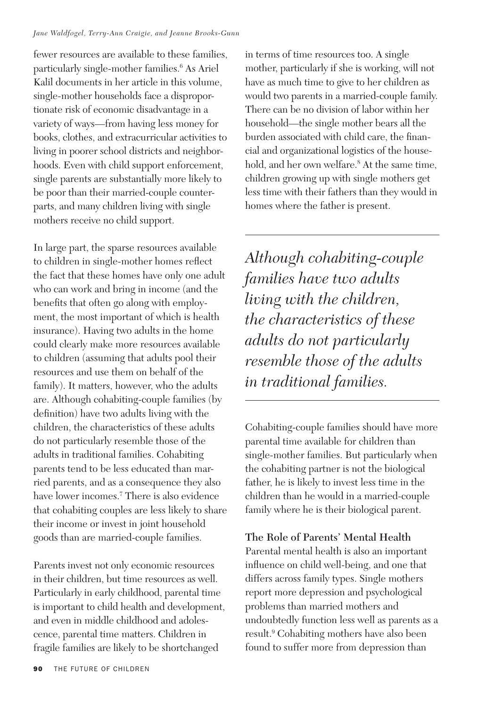fewer resources are available to these families, particularly single-mother families.<sup>6</sup> As Ariel Kalil documents in her article in this volume, single-mother households face a disproportionate risk of economic disadvantage in a variety of ways—from having less money for books, clothes, and extracurricular activities to living in poorer school districts and neighborhoods. Even with child support enforcement, single parents are substantially more likely to be poor than their married-couple counterparts, and many children living with single mothers receive no child support.

In large part, the sparse resources available to children in single-mother homes reflect the fact that these homes have only one adult who can work and bring in income (and the benefits that often go along with employment, the most important of which is health insurance). Having two adults in the home could clearly make more resources available to children (assuming that adults pool their resources and use them on behalf of the family). It matters, however, who the adults are. Although cohabiting-couple families (by definition) have two adults living with the children, the characteristics of these adults do not particularly resemble those of the adults in traditional families. Cohabiting parents tend to be less educated than married parents, and as a consequence they also have lower incomes.<sup>7</sup> There is also evidence that cohabiting couples are less likely to share their income or invest in joint household goods than are married-couple families.

Parents invest not only economic resources in their children, but time resources as well. Particularly in early childhood, parental time is important to child health and development, and even in middle childhood and adolescence, parental time matters. Children in fragile families are likely to be shortchanged

in terms of time resources too. A single mother, particularly if she is working, will not have as much time to give to her children as would two parents in a married-couple family. There can be no division of labor within her household—the single mother bears all the burden associated with child care, the financial and organizational logistics of the household, and her own welfare.<sup>8</sup> At the same time, children growing up with single mothers get less time with their fathers than they would in homes where the father is present.

*Although cohabiting-couple families have two adults living with the children, the characteristics of these adults do not particularly resemble those of the adults in traditional families.*

Cohabiting-couple families should have more parental time available for children than single-mother families. But particularly when the cohabiting partner is not the biological father, he is likely to invest less time in the children than he would in a married-couple family where he is their biological parent.

**The Role of Parents' Mental Health**

Parental mental health is also an important influence on child well-being, and one that differs across family types. Single mothers report more depression and psychological problems than married mothers and undoubtedly function less well as parents as a result.<sup>9</sup> Cohabiting mothers have also been found to suffer more from depression than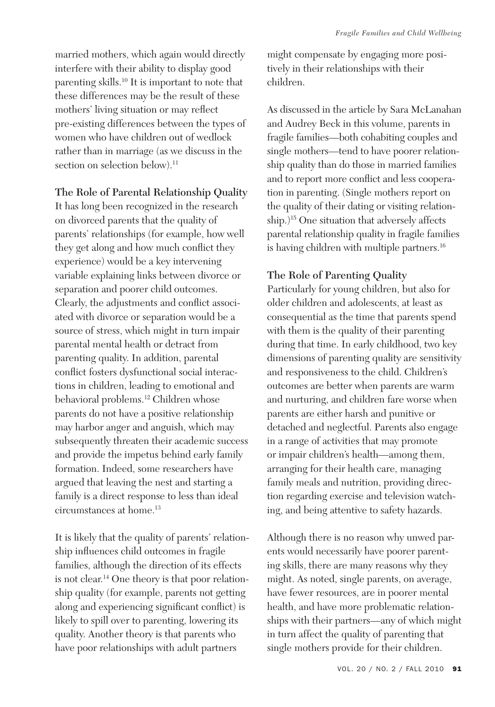married mothers, which again would directly interfere with their ability to display good parenting skills.10 It is important to note that these differences may be the result of these mothers' living situation or may reflect pre-existing differences between the types of women who have children out of wedlock rather than in marriage (as we discuss in the section on selection below).<sup>11</sup>

**The Role of Parental Relationship Quality** 

It has long been recognized in the research on divorced parents that the quality of parents' relationships (for example, how well they get along and how much conflict they experience) would be a key intervening variable explaining links between divorce or separation and poorer child outcomes. Clearly, the adjustments and conflict associated with divorce or separation would be a source of stress, which might in turn impair parental mental health or detract from parenting quality. In addition, parental conflict fosters dysfunctional social interactions in children, leading to emotional and behavioral problems.<sup>12</sup> Children whose parents do not have a positive relationship may harbor anger and anguish, which may subsequently threaten their academic success and provide the impetus behind early family formation. Indeed, some researchers have argued that leaving the nest and starting a family is a direct response to less than ideal circumstances at home.13

It is likely that the quality of parents' relationship influences child outcomes in fragile families, although the direction of its effects is not clear.14 One theory is that poor relationship quality (for example, parents not getting along and experiencing significant conflict) is likely to spill over to parenting, lowering its quality. Another theory is that parents who have poor relationships with adult partners

might compensate by engaging more positively in their relationships with their children.

As discussed in the article by Sara McLanahan and Audrey Beck in this volume, parents in fragile families—both cohabiting couples and single mothers—tend to have poorer relationship quality than do those in married families and to report more conflict and less cooperation in parenting. (Single mothers report on the quality of their dating or visiting relationship.)15 One situation that adversely affects parental relationship quality in fragile families is having children with multiple partners.<sup>16</sup>

#### **The Role of Parenting Quality**

Particularly for young children, but also for older children and adolescents, at least as consequential as the time that parents spend with them is the quality of their parenting during that time. In early childhood, two key dimensions of parenting quality are sensitivity and responsiveness to the child. Children's outcomes are better when parents are warm and nurturing, and children fare worse when parents are either harsh and punitive or detached and neglectful. Parents also engage in a range of activities that may promote or impair children's health—among them, arranging for their health care, managing family meals and nutrition, providing direction regarding exercise and television watching, and being attentive to safety hazards.

Although there is no reason why unwed parents would necessarily have poorer parenting skills, there are many reasons why they might. As noted, single parents, on average, have fewer resources, are in poorer mental health, and have more problematic relationships with their partners—any of which might in turn affect the quality of parenting that single mothers provide for their children.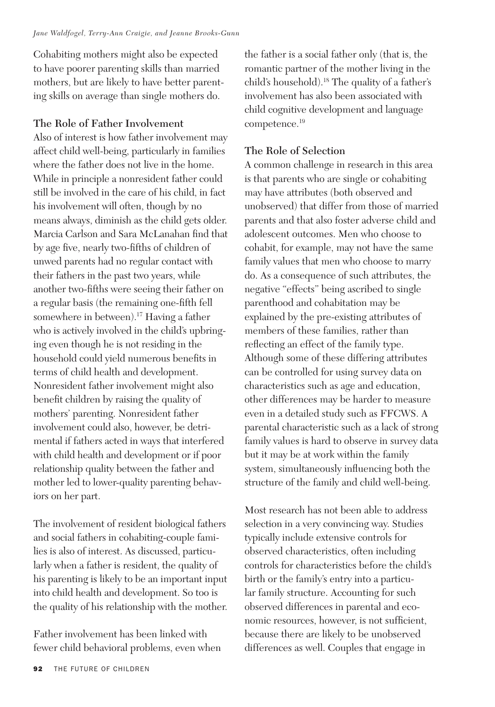#### *Jane Waldfogel, Terry-Ann Craigie, and Jeanne Brooks-Gunn*

Cohabiting mothers might also be expected to have poorer parenting skills than married mothers, but are likely to have better parenting skills on average than single mothers do.

#### **The Role of Father Involvement**

Also of interest is how father involvement may affect child well-being, particularly in families where the father does not live in the home. While in principle a nonresident father could still be involved in the care of his child, in fact his involvement will often, though by no means always, diminish as the child gets older. Marcia Carlson and Sara McLanahan find that by age five, nearly two-fifths of children of unwed parents had no regular contact with their fathers in the past two years, while another two-fifths were seeing their father on a regular basis (the remaining one-fifth fell somewhere in between).<sup>17</sup> Having a father who is actively involved in the child's upbringing even though he is not residing in the household could yield numerous benefits in terms of child health and development. Nonresident father involvement might also benefit children by raising the quality of mothers' parenting. Nonresident father involvement could also, however, be detrimental if fathers acted in ways that interfered with child health and development or if poor relationship quality between the father and mother led to lower-quality parenting behaviors on her part.

The involvement of resident biological fathers and social fathers in cohabiting-couple families is also of interest. As discussed, particularly when a father is resident, the quality of his parenting is likely to be an important input into child health and development. So too is the quality of his relationship with the mother.

Father involvement has been linked with fewer child behavioral problems, even when the father is a social father only (that is, the romantic partner of the mother living in the child's household).18 The quality of a father's involvement has also been associated with child cognitive development and language competence.19

#### **The Role of Selection**

A common challenge in research in this area is that parents who are single or cohabiting may have attributes (both observed and unobserved) that differ from those of married parents and that also foster adverse child and adolescent outcomes. Men who choose to cohabit, for example, may not have the same family values that men who choose to marry do. As a consequence of such attributes, the negative "effects" being ascribed to single parenthood and cohabitation may be explained by the pre-existing attributes of members of these families, rather than reflecting an effect of the family type. Although some of these differing attributes can be controlled for using survey data on characteristics such as age and education, other differences may be harder to measure even in a detailed study such as FFCWS. A parental characteristic such as a lack of strong family values is hard to observe in survey data but it may be at work within the family system, simultaneously influencing both the structure of the family and child well-being.

Most research has not been able to address selection in a very convincing way. Studies typically include extensive controls for observed characteristics, often including controls for characteristics before the child's birth or the family's entry into a particular family structure. Accounting for such observed differences in parental and economic resources, however, is not sufficient, because there are likely to be unobserved differences as well. Couples that engage in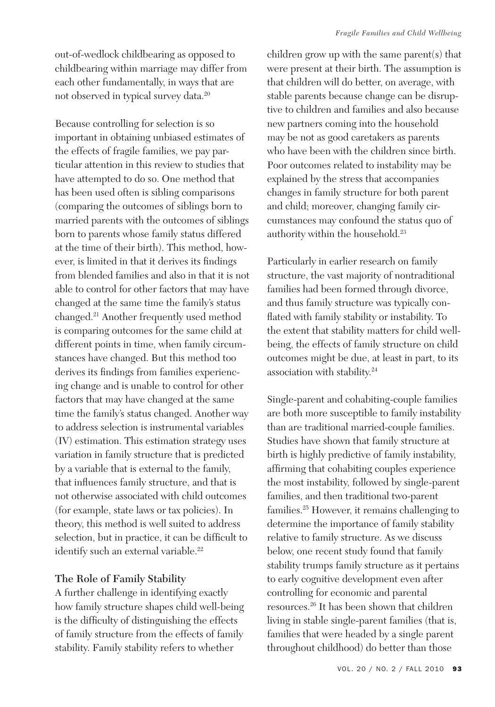out-of-wedlock childbearing as opposed to childbearing within marriage may differ from each other fundamentally, in ways that are not observed in typical survey data.20

Because controlling for selection is so important in obtaining unbiased estimates of the effects of fragile families, we pay particular attention in this review to studies that have attempted to do so. One method that has been used often is sibling comparisons (comparing the outcomes of siblings born to married parents with the outcomes of siblings born to parents whose family status differed at the time of their birth). This method, however, is limited in that it derives its findings from blended families and also in that it is not able to control for other factors that may have changed at the same time the family's status changed.21 Another frequently used method is comparing outcomes for the same child at different points in time, when family circumstances have changed. But this method too derives its findings from families experiencing change and is unable to control for other factors that may have changed at the same time the family's status changed. Another way to address selection is instrumental variables (IV) estimation. This estimation strategy uses variation in family structure that is predicted by a variable that is external to the family, that influences family structure, and that is not otherwise associated with child outcomes (for example, state laws or tax policies). In theory, this method is well suited to address selection, but in practice, it can be difficult to identify such an external variable.<sup>22</sup>

#### **The Role of Family Stability**

A further challenge in identifying exactly how family structure shapes child well-being is the difficulty of distinguishing the effects of family structure from the effects of family stability. Family stability refers to whether

children grow up with the same parent(s) that were present at their birth. The assumption is that children will do better, on average, with stable parents because change can be disruptive to children and families and also because new partners coming into the household may be not as good caretakers as parents who have been with the children since birth. Poor outcomes related to instability may be explained by the stress that accompanies changes in family structure for both parent and child; moreover, changing family circumstances may confound the status quo of authority within the household.23

Particularly in earlier research on family structure, the vast majority of nontraditional families had been formed through divorce, and thus family structure was typically conflated with family stability or instability. To the extent that stability matters for child wellbeing, the effects of family structure on child outcomes might be due, at least in part, to its association with stability.24

Single-parent and cohabiting-couple families are both more susceptible to family instability than are traditional married-couple families. Studies have shown that family structure at birth is highly predictive of family instability, affirming that cohabiting couples experience the most instability, followed by single-parent families, and then traditional two-parent families.25 However, it remains challenging to determine the importance of family stability relative to family structure. As we discuss below, one recent study found that family stability trumps family structure as it pertains to early cognitive development even after controlling for economic and parental resources.26 It has been shown that children living in stable single-parent families (that is, families that were headed by a single parent throughout childhood) do better than those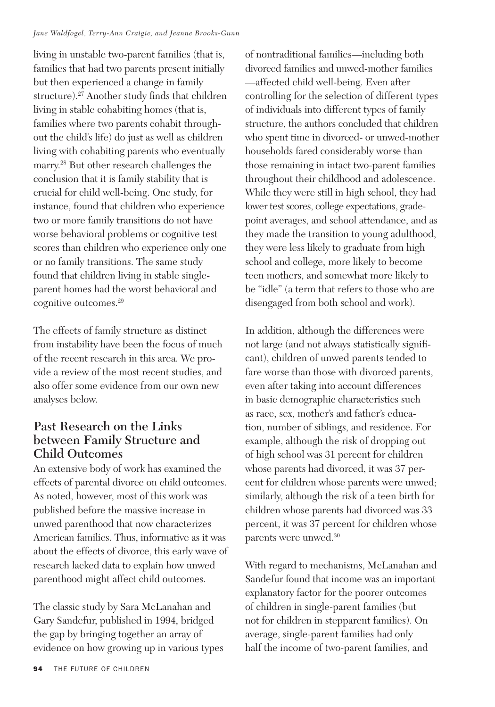living in unstable two-parent families (that is, families that had two parents present initially but then experienced a change in family structure).<sup>27</sup> Another study finds that children living in stable cohabiting homes (that is, families where two parents cohabit throughout the child's life) do just as well as children living with cohabiting parents who eventually marry.28 But other research challenges the conclusion that it is family stability that is crucial for child well-being. One study, for instance, found that children who experience two or more family transitions do not have worse behavioral problems or cognitive test scores than children who experience only one or no family transitions. The same study found that children living in stable singleparent homes had the worst behavioral and cognitive outcomes.29

The effects of family structure as distinct from instability have been the focus of much of the recent research in this area. We provide a review of the most recent studies, and also offer some evidence from our own new analyses below.

## **Past Research on the Links between Family Structure and Child Outcomes**

An extensive body of work has examined the effects of parental divorce on child outcomes. As noted, however, most of this work was published before the massive increase in unwed parenthood that now characterizes American families. Thus, informative as it was about the effects of divorce, this early wave of research lacked data to explain how unwed parenthood might affect child outcomes.

The classic study by Sara McLanahan and Gary Sandefur, published in 1994, bridged the gap by bringing together an array of evidence on how growing up in various types

of nontraditional families—including both divorced families and unwed-mother families —affected child well-being. Even after controlling for the selection of different types of individuals into different types of family structure, the authors concluded that children who spent time in divorced- or unwed-mother households fared considerably worse than those remaining in intact two-parent families throughout their childhood and adolescence. While they were still in high school, they had lower test scores, college expectations, gradepoint averages, and school attendance, and as they made the transition to young adulthood, they were less likely to graduate from high school and college, more likely to become teen mothers, and somewhat more likely to be "idle" (a term that refers to those who are disengaged from both school and work).

In addition, although the differences were not large (and not always statistically significant), children of unwed parents tended to fare worse than those with divorced parents, even after taking into account differences in basic demographic characteristics such as race, sex, mother's and father's education, number of siblings, and residence. For example, although the risk of dropping out of high school was 31 percent for children whose parents had divorced, it was 37 percent for children whose parents were unwed; similarly, although the risk of a teen birth for children whose parents had divorced was 33 percent, it was 37 percent for children whose parents were unwed.30

With regard to mechanisms, McLanahan and Sandefur found that income was an important explanatory factor for the poorer outcomes of children in single-parent families (but not for children in stepparent families). On average, single-parent families had only half the income of two-parent families, and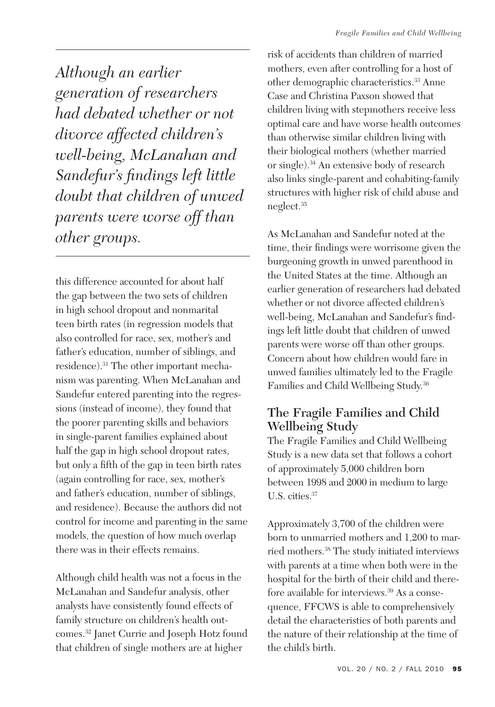*Although an earlier generation of researchers had debated whether or not divorce affected children's well-being, McLanahan and Sandefur's findings left little doubt that children of unwed parents were worse off than other groups.*

this difference accounted for about half the gap between the two sets of children in high school dropout and nonmarital teen birth rates (in regression models that also controlled for race, sex, mother's and father's education, number of siblings, and residence).31 The other important mechanism was parenting. When McLanahan and Sandefur entered parenting into the regressions (instead of income), they found that the poorer parenting skills and behaviors in single-parent families explained about half the gap in high school dropout rates, but only a fifth of the gap in teen birth rates (again controlling for race, sex, mother's and father's education, number of siblings, and residence). Because the authors did not control for income and parenting in the same models, the question of how much overlap there was in their effects remains.

Although child health was not a focus in the McLanahan and Sandefur analysis, other analysts have consistently found effects of family structure on children's health outcomes.32 Janet Currie and Joseph Hotz found that children of single mothers are at higher

risk of accidents than children of married mothers, even after controlling for a host of other demographic characteristics.33 Anne Case and Christina Paxson showed that children living with stepmothers receive less optimal care and have worse health outcomes than otherwise similar children living with their biological mothers (whether married or single).34 An extensive body of research also links single-parent and cohabiting-family structures with higher risk of child abuse and neglect.35

As McLanahan and Sandefur noted at the time, their findings were worrisome given the burgeoning growth in unwed parenthood in the United States at the time. Although an earlier generation of researchers had debated whether or not divorce affected children's well-being, McLanahan and Sandefur's findings left little doubt that children of unwed parents were worse off than other groups. Concern about how children would fare in unwed families ultimately led to the Fragile Families and Child Wellbeing Study.36

## **The Fragile Families and Child Wellbeing Study**

The Fragile Families and Child Wellbeing Study is a new data set that follows a cohort of approximately 5,000 children born between 1998 and 2000 in medium to large U.S. cities.<sup>37</sup>

Approximately 3,700 of the children were born to unmarried mothers and 1,200 to married mothers.38 The study initiated interviews with parents at a time when both were in the hospital for the birth of their child and therefore available for interviews.<sup>39</sup> As a consequence, FFCWS is able to comprehensively detail the characteristics of both parents and the nature of their relationship at the time of the child's birth.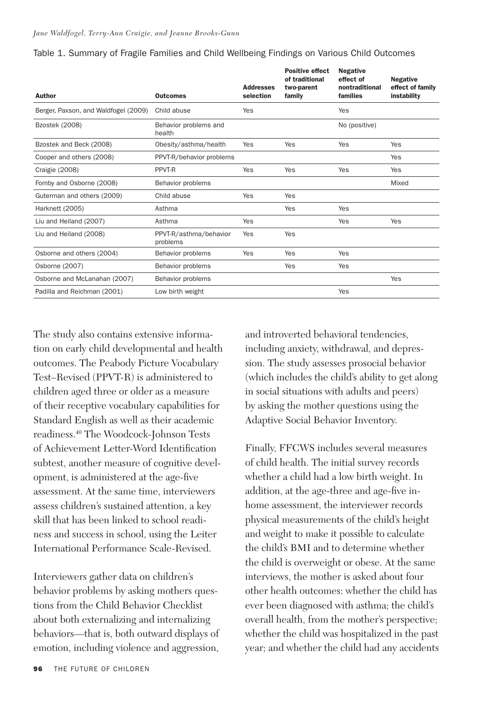| Author                               | <b>Outcomes</b>                    | <b>Addresses</b><br>selection | <b>Positive effect</b><br>of traditional<br>two-parent<br>family | <b>Negative</b><br>effect of<br>nontraditional<br>families | <b>Negative</b><br>effect of family<br>instability |
|--------------------------------------|------------------------------------|-------------------------------|------------------------------------------------------------------|------------------------------------------------------------|----------------------------------------------------|
| Berger, Paxson, and Waldfogel (2009) | Child abuse                        | Yes                           |                                                                  | Yes                                                        |                                                    |
| Bzostek (2008)                       | Behavior problems and<br>health    |                               |                                                                  | No (positive)                                              |                                                    |
| Bzostek and Beck (2008)              | Obesity/asthma/health              | Yes                           | Yes                                                              | Yes                                                        | Yes                                                |
| Cooper and others (2008)             | PPVT-R/behavior problems           |                               |                                                                  |                                                            | Yes                                                |
| Craigie (2008)                       | PPVT-R                             | Yes                           | Yes                                                              | Yes                                                        | Yes                                                |
| Fomby and Osborne (2008)             | Behavior problems                  |                               |                                                                  |                                                            | Mixed                                              |
| Guterman and others (2009)           | Child abuse                        | Yes                           | Yes                                                              |                                                            |                                                    |
| Harknett (2005)                      | Asthma                             |                               | Yes                                                              | Yes                                                        |                                                    |
| Liu and Heiland (2007)               | Asthma                             | Yes                           |                                                                  | Yes                                                        | Yes                                                |
| Liu and Heiland (2008)               | PPVT-R/asthma/behavior<br>problems | Yes                           | <b>Yes</b>                                                       |                                                            |                                                    |
| Osborne and others (2004)            | Behavior problems                  | Yes                           | Yes                                                              | Yes                                                        |                                                    |
| Osborne (2007)                       | Behavior problems                  |                               | Yes                                                              | Yes                                                        |                                                    |
| Osborne and McLanahan (2007)         | Behavior problems                  |                               |                                                                  |                                                            | Yes                                                |
| Padilla and Reichman (2001)          | Low birth weight                   |                               |                                                                  | Yes                                                        |                                                    |

|  | Table 1. Summary of Fragile Families and Child Wellbeing Findings on Various Child Outcomes |  |  |  |  |  |  |  |  |  |
|--|---------------------------------------------------------------------------------------------|--|--|--|--|--|--|--|--|--|
|--|---------------------------------------------------------------------------------------------|--|--|--|--|--|--|--|--|--|

The study also contains extensive information on early child developmental and health outcomes. The Peabody Picture Vocabulary Test–Revised (PPVT-R) is administered to children aged three or older as a measure of their receptive vocabulary capabilities for Standard English as well as their academic readiness.40 The Woodcock-Johnson Tests of Achievement Letter-Word Identification subtest, another measure of cognitive development, is administered at the age-five assessment. At the same time, interviewers assess children's sustained attention, a key skill that has been linked to school readiness and success in school, using the Leiter International Performance Scale-Revised.

Interviewers gather data on children's behavior problems by asking mothers questions from the Child Behavior Checklist about both externalizing and internalizing behaviors—that is, both outward displays of emotion, including violence and aggression,

and introverted behavioral tendencies, including anxiety, withdrawal, and depression. The study assesses prosocial behavior (which includes the child's ability to get along in social situations with adults and peers) by asking the mother questions using the Adaptive Social Behavior Inventory.

Finally, FFCWS includes several measures of child health. The initial survey records whether a child had a low birth weight. In addition, at the age-three and age-five inhome assessment, the interviewer records physical measurements of the child's height and weight to make it possible to calculate the child's BMI and to determine whether the child is overweight or obese. At the same interviews, the mother is asked about four other health outcomes: whether the child has ever been diagnosed with asthma; the child's overall health, from the mother's perspective; whether the child was hospitalized in the past year; and whether the child had any accidents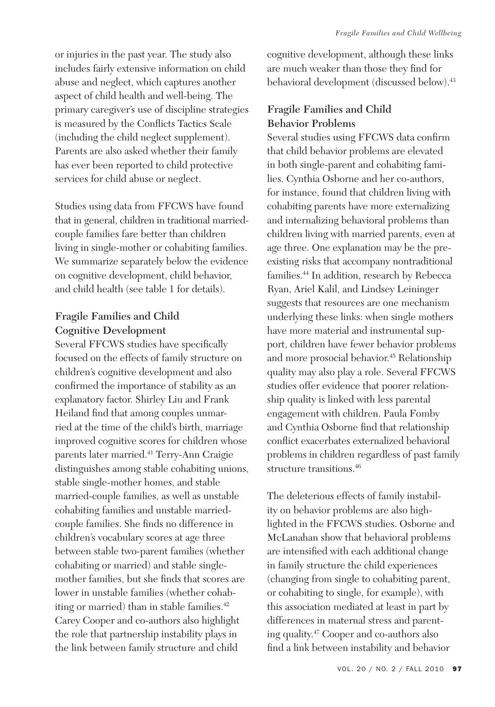or injuries in the past year. The study also includes fairly extensive information on child abuse and neglect, which captures another aspect of child health and well-being. The primary caregiver's use of discipline strategies is measured by the Conflicts Tactics Scale (including the child neglect supplement). Parents are also asked whether their family has ever been reported to child protective services for child abuse or neglect.

Studies using data from FFCWS have found that in general, children in traditional marriedcouple families fare better than children living in single-mother or cohabiting families. We summarize separately below the evidence on cognitive development, child behavior, and child health (see table 1 for details).

#### **Fragile Families and Child Cognitive Development**

Several FFCWS studies have specifically focused on the effects of family structure on children's cognitive development and also confirmed the importance of stability as an explanatory factor. Shirley Liu and Frank Heiland find that among couples unmarried at the time of the child's birth, marriage improved cognitive scores for children whose parents later married.41 Terry-Ann Craigie distinguishes among stable cohabiting unions, stable single-mother homes, and stable married-couple families, as well as unstable cohabiting families and unstable marriedcouple families. She finds no difference in children's vocabulary scores at age three between stable two-parent families (whether cohabiting or married) and stable singlemother families, but she finds that scores are lower in unstable families (whether cohabiting or married) than in stable families.<sup>42</sup> Carey Cooper and co-authors also highlight the role that partnership instability plays in the link between family structure and child

cognitive development, although these links are much weaker than those they find for behavioral development (discussed below).43

### **Fragile Families and Child Behavior Problems**

Several studies using FFCWS data confirm that child behavior problems are elevated in both single-parent and cohabiting families. Cynthia Osborne and her co-authors, for instance, found that children living with cohabiting parents have more externalizing and internalizing behavioral problems than children living with married parents, even at age three. One explanation may be the preexisting risks that accompany nontraditional families.<sup>44</sup> In addition, research by Rebecca Ryan, Ariel Kalil, and Lindsey Leininger suggests that resources are one mechanism underlying these links: when single mothers have more material and instrumental support, children have fewer behavior problems and more prosocial behavior.<sup>45</sup> Relationship quality may also play a role. Several FFCWS studies offer evidence that poorer relationship quality is linked with less parental engagement with children. Paula Fomby and Cynthia Osborne find that relationship conflict exacerbates externalized behavioral problems in children regardless of past family structure transitions.<sup>46</sup>

The deleterious effects of family instability on behavior problems are also highlighted in the FFCWS studies. Osborne and McLanahan show that behavioral problems are intensified with each additional change in family structure the child experiences (changing from single to cohabiting parent, or cohabiting to single, for example), with this association mediated at least in part by differences in maternal stress and parenting quality.47 Cooper and co-authors also find a link between instability and behavior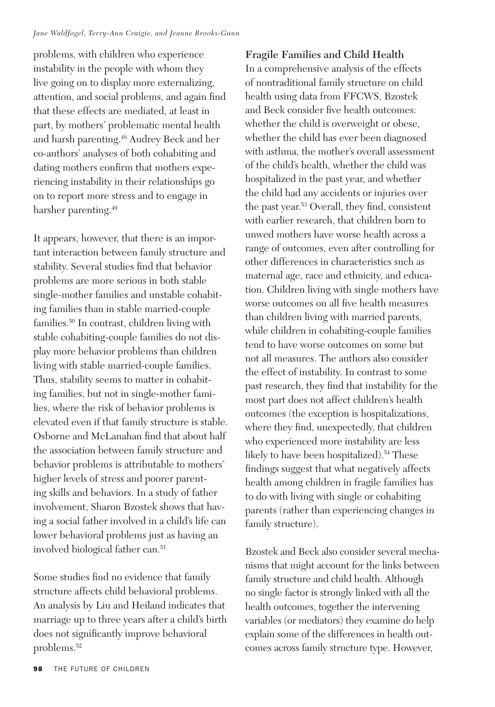problems, with children who experience instability in the people with whom they live going on to display more externalizing, attention, and social problems, and again find that these effects are mediated, at least in part, by mothers' problematic mental health and harsh parenting.48 Audrey Beck and her co-authors' analyses of both cohabiting and dating mothers confirm that mothers experiencing instability in their relationships go on to report more stress and to engage in harsher parenting.<sup>49</sup>

It appears, however, that there is an important interaction between family structure and stability. Several studies find that behavior problems are more serious in both stable single-mother families and unstable cohabiting families than in stable married-couple families.50 In contrast, children living with stable cohabiting-couple families do not display more behavior problems than children living with stable married-couple families. Thus, stability seems to matter in cohabiting families, but not in single-mother families, where the risk of behavior problems is elevated even if that family structure is stable. Osborne and McLanahan find that about half the association between family structure and behavior problems is attributable to mothers' higher levels of stress and poorer parenting skills and behaviors. In a study of father involvement, Sharon Bzostek shows that having a social father involved in a child's life can lower behavioral problems just as having an involved biological father can.51

Some studies find no evidence that family structure affects child behavioral problems. An analysis by Liu and Heiland indicates that marriage up to three years after a child's birth does not significantly improve behavioral problems.52

**Fragile Families and Child Health** In a comprehensive analysis of the effects of nontraditional family structure on child health using data from FFCWS, Bzostek and Beck consider five health outcomes: whether the child is overweight or obese, whether the child has ever been diagnosed with asthma, the mother's overall assessment of the child's health, whether the child was hospitalized in the past year, and whether the child had any accidents or injuries over the past year.53 Overall, they find, consistent with earlier research, that children born to unwed mothers have worse health across a range of outcomes, even after controlling for other differences in characteristics such as maternal age, race and ethnicity, and education. Children living with single mothers have worse outcomes on all five health measures than children living with married parents, while children in cohabiting-couple families tend to have worse outcomes on some but not all measures. The authors also consider the effect of instability. In contrast to some past research, they find that instability for the most part does not affect children's health outcomes (the exception is hospitalizations, where they find, unexpectedly, that children who experienced more instability are less likely to have been hospitalized).<sup>54</sup> These findings suggest that what negatively affects health among children in fragile families has to do with living with single or cohabiting parents (rather than experiencing changes in family structure).

Bzostek and Beck also consider several mechanisms that might account for the links between family structure and child health. Although no single factor is strongly linked with all the health outcomes, together the intervening variables (or mediators) they examine do help explain some of the differences in health outcomes across family structure type. However,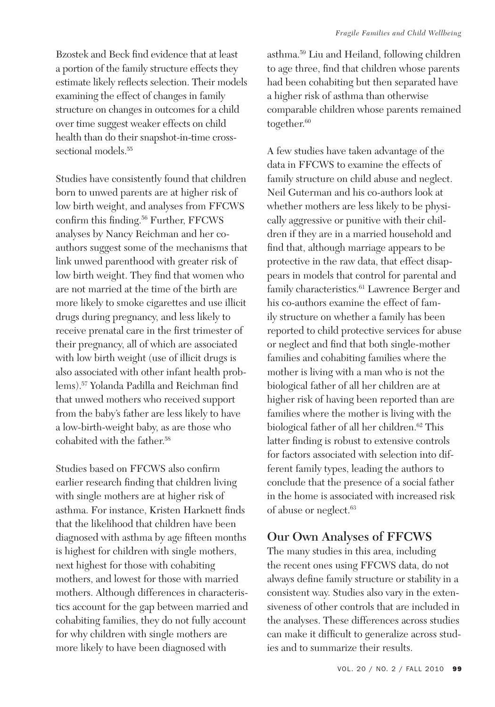Bzostek and Beck find evidence that at least a portion of the family structure effects they estimate likely reflects selection. Their models examining the effect of changes in family structure on changes in outcomes for a child over time suggest weaker effects on child health than do their snapshot-in-time crosssectional models.<sup>55</sup>

Studies have consistently found that children born to unwed parents are at higher risk of low birth weight, and analyses from FFCWS confirm this finding.56 Further, FFCWS analyses by Nancy Reichman and her coauthors suggest some of the mechanisms that link unwed parenthood with greater risk of low birth weight. They find that women who are not married at the time of the birth are more likely to smoke cigarettes and use illicit drugs during pregnancy, and less likely to receive prenatal care in the first trimester of their pregnancy, all of which are associated with low birth weight (use of illicit drugs is also associated with other infant health problems).57 Yolanda Padilla and Reichman find that unwed mothers who received support from the baby's father are less likely to have a low-birth-weight baby, as are those who cohabited with the father.<sup>58</sup>

Studies based on FFCWS also confirm earlier research finding that children living with single mothers are at higher risk of asthma. For instance, Kristen Harknett finds that the likelihood that children have been diagnosed with asthma by age fifteen months is highest for children with single mothers, next highest for those with cohabiting mothers, and lowest for those with married mothers. Although differences in characteristics account for the gap between married and cohabiting families, they do not fully account for why children with single mothers are more likely to have been diagnosed with

asthma.59 Liu and Heiland, following children to age three, find that children whose parents had been cohabiting but then separated have a higher risk of asthma than otherwise comparable children whose parents remained together.<sup>60</sup>

A few studies have taken advantage of the data in FFCWS to examine the effects of family structure on child abuse and neglect. Neil Guterman and his co-authors look at whether mothers are less likely to be physically aggressive or punitive with their children if they are in a married household and find that, although marriage appears to be protective in the raw data, that effect disappears in models that control for parental and family characteristics.<sup>61</sup> Lawrence Berger and his co-authors examine the effect of family structure on whether a family has been reported to child protective services for abuse or neglect and find that both single-mother families and cohabiting families where the mother is living with a man who is not the biological father of all her children are at higher risk of having been reported than are families where the mother is living with the biological father of all her children.<sup>62</sup> This latter finding is robust to extensive controls for factors associated with selection into different family types, leading the authors to conclude that the presence of a social father in the home is associated with increased risk of abuse or neglect.<sup>63</sup>

#### **Our Own Analyses of FFCWS**

The many studies in this area, including the recent ones using FFCWS data, do not always define family structure or stability in a consistent way. Studies also vary in the extensiveness of other controls that are included in the analyses. These differences across studies can make it difficult to generalize across studies and to summarize their results.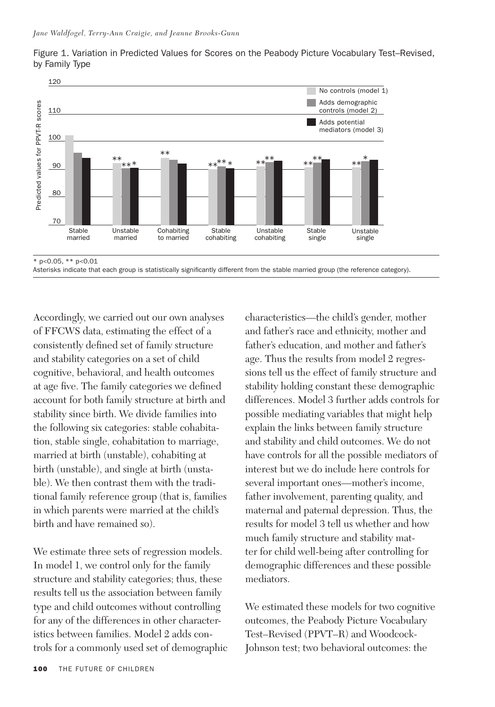

Figure 1. Variation in Predicted Values for Scores on the Peabody Picture Vocabulary Test–Revised, by Family Type

Accordingly, we carried out our own analyses of FFCWS data, estimating the effect of a consistently defined set of family structure and stability categories on a set of child cognitive, behavioral, and health outcomes at age five. The family categories we defined account for both family structure at birth and stability since birth. We divide families into the following six categories: stable cohabitation, stable single, cohabitation to marriage, married at birth (unstable), cohabiting at birth (unstable), and single at birth (unstable). We then contrast them with the traditional family reference group (that is, families in which parents were married at the child's birth and have remained so).

We estimate three sets of regression models. In model 1, we control only for the family structure and stability categories; thus, these results tell us the association between family type and child outcomes without controlling for any of the differences in other characteristics between families. Model 2 adds controls for a commonly used set of demographic

characteristics—the child's gender, mother and father's race and ethnicity, mother and father's education, and mother and father's age. Thus the results from model 2 regressions tell us the effect of family structure and stability holding constant these demographic differences. Model 3 further adds controls for possible mediating variables that might help explain the links between family structure and stability and child outcomes. We do not have controls for all the possible mediators of interest but we do include here controls for several important ones—mother's income, father involvement, parenting quality, and maternal and paternal depression. Thus, the results for model 3 tell us whether and how much family structure and stability matter for child well-being after controlling for demographic differences and these possible mediators.

We estimated these models for two cognitive outcomes, the Peabody Picture Vocabulary Test–Revised (PPVT–R) and Woodcock-Johnson test; two behavioral outcomes: the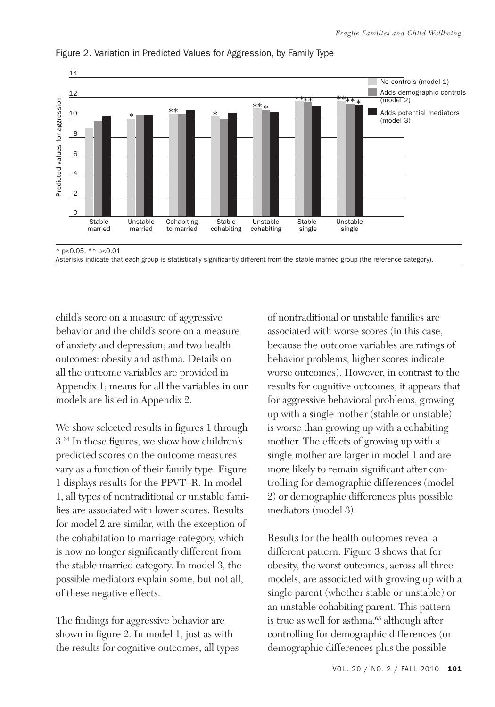

#### Figure 2. Variation in Predicted Values for Aggression, by Family Type

Asterisks indicate that each group is statistically significantly different from the stable married group (the reference category).

child's score on a measure of aggressive behavior and the child's score on a measure of anxiety and depression; and two health outcomes: obesity and asthma. Details on all the outcome variables are provided in Appendix 1; means for all the variables in our models are listed in Appendix 2.

We show selected results in figures 1 through 3.64 In these figures, we show how children's predicted scores on the outcome measures vary as a function of their family type. Figure 1 displays results for the PPVT–R. In model 1, all types of nontraditional or unstable families are associated with lower scores. Results for model 2 are similar, with the exception of the cohabitation to marriage category, which is now no longer significantly different from the stable married category. In model 3, the possible mediators explain some, but not all, of these negative effects.

The findings for aggressive behavior are shown in figure 2. In model 1, just as with the results for cognitive outcomes, all types of nontraditional or unstable families are associated with worse scores (in this case, because the outcome variables are ratings of behavior problems, higher scores indicate worse outcomes). However, in contrast to the results for cognitive outcomes, it appears that for aggressive behavioral problems, growing up with a single mother (stable or unstable) is worse than growing up with a cohabiting mother. The effects of growing up with a single mother are larger in model 1 and are more likely to remain significant after controlling for demographic differences (model 2) or demographic differences plus possible mediators (model 3).

Results for the health outcomes reveal a different pattern. Figure 3 shows that for obesity, the worst outcomes, across all three models, are associated with growing up with a single parent (whether stable or unstable) or an unstable cohabiting parent. This pattern is true as well for asthma,<sup>65</sup> although after controlling for demographic differences (or demographic differences plus the possible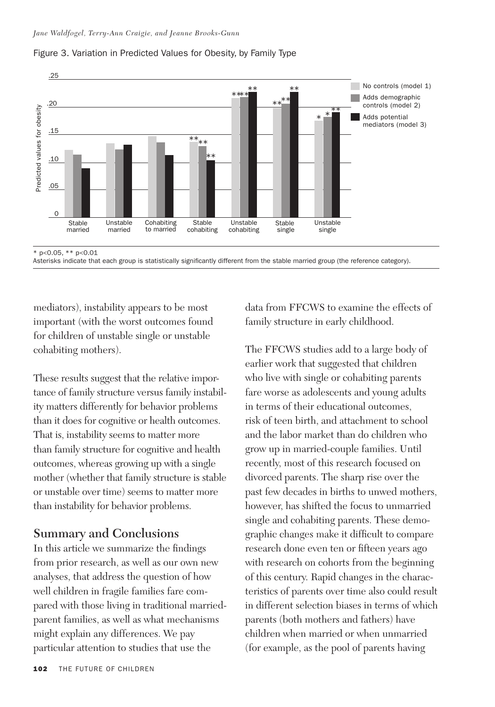

#### Figure 3. Variation in Predicted Values for Obesity, by Family Type

Asterisks indicate that each group is statistically significantly different from the stable married group (the reference category).

mediators), instability appears to be most important (with the worst outcomes found for children of unstable single or unstable cohabiting mothers).

These results suggest that the relative importance of family structure versus family instability matters differently for behavior problems than it does for cognitive or health outcomes. That is, instability seems to matter more than family structure for cognitive and health outcomes, whereas growing up with a single mother (whether that family structure is stable or unstable over time) seems to matter more than instability for behavior problems.

#### **Summary and Conclusions**

In this article we summarize the findings from prior research, as well as our own new analyses, that address the question of how well children in fragile families fare compared with those living in traditional marriedparent families, as well as what mechanisms might explain any differences. We pay particular attention to studies that use the

data from FFCWS to examine the effects of family structure in early childhood.

The FFCWS studies add to a large body of earlier work that suggested that children who live with single or cohabiting parents fare worse as adolescents and young adults in terms of their educational outcomes, risk of teen birth, and attachment to school and the labor market than do children who grow up in married-couple families. Until recently, most of this research focused on divorced parents. The sharp rise over the past few decades in births to unwed mothers, however, has shifted the focus to unmarried single and cohabiting parents. These demographic changes make it difficult to compare research done even ten or fifteen years ago with research on cohorts from the beginning of this century. Rapid changes in the characteristics of parents over time also could result in different selection biases in terms of which parents (both mothers and fathers) have children when married or when unmarried (for example, as the pool of parents having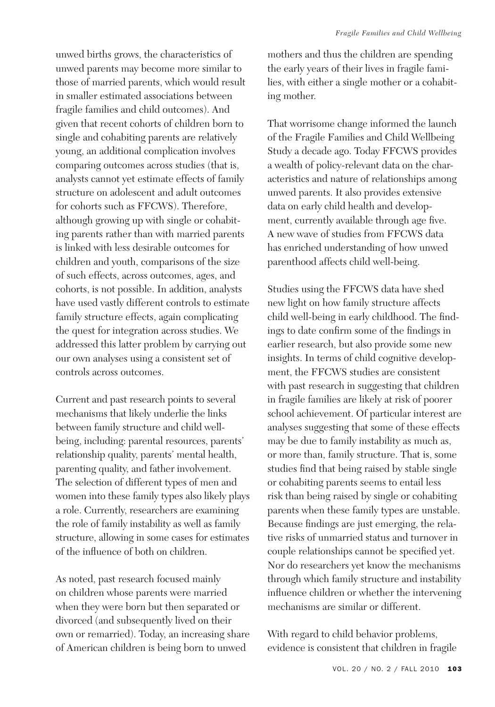unwed births grows, the characteristics of unwed parents may become more similar to those of married parents, which would result in smaller estimated associations between fragile families and child outcomes). And given that recent cohorts of children born to single and cohabiting parents are relatively young, an additional complication involves comparing outcomes across studies (that is, analysts cannot yet estimate effects of family structure on adolescent and adult outcomes for cohorts such as FFCWS). Therefore, although growing up with single or cohabiting parents rather than with married parents is linked with less desirable outcomes for children and youth, comparisons of the size of such effects, across outcomes, ages, and cohorts, is not possible. In addition, analysts have used vastly different controls to estimate family structure effects, again complicating the quest for integration across studies. We addressed this latter problem by carrying out our own analyses using a consistent set of controls across outcomes.

Current and past research points to several mechanisms that likely underlie the links between family structure and child wellbeing, including: parental resources, parents' relationship quality, parents' mental health, parenting quality, and father involvement. The selection of different types of men and women into these family types also likely plays a role. Currently, researchers are examining the role of family instability as well as family structure, allowing in some cases for estimates of the influence of both on children.

As noted, past research focused mainly on children whose parents were married when they were born but then separated or divorced (and subsequently lived on their own or remarried). Today, an increasing share of American children is being born to unwed

mothers and thus the children are spending the early years of their lives in fragile families, with either a single mother or a cohabiting mother.

That worrisome change informed the launch of the Fragile Families and Child Wellbeing Study a decade ago. Today FFCWS provides a wealth of policy-relevant data on the characteristics and nature of relationships among unwed parents. It also provides extensive data on early child health and development, currently available through age five. A new wave of studies from FFCWS data has enriched understanding of how unwed parenthood affects child well-being.

Studies using the FFCWS data have shed new light on how family structure affects child well-being in early childhood. The findings to date confirm some of the findings in earlier research, but also provide some new insights. In terms of child cognitive development, the FFCWS studies are consistent with past research in suggesting that children in fragile families are likely at risk of poorer school achievement. Of particular interest are analyses suggesting that some of these effects may be due to family instability as much as, or more than, family structure. That is, some studies find that being raised by stable single or cohabiting parents seems to entail less risk than being raised by single or cohabiting parents when these family types are unstable. Because findings are just emerging, the relative risks of unmarried status and turnover in couple relationships cannot be specified yet. Nor do researchers yet know the mechanisms through which family structure and instability influence children or whether the intervening mechanisms are similar or different.

With regard to child behavior problems, evidence is consistent that children in fragile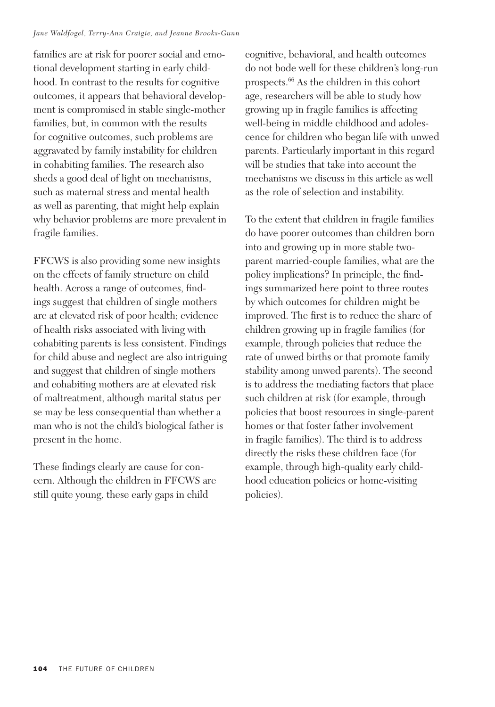#### *Jane Waldfogel, Terry-Ann Craigie, and Jeanne Brooks-Gunn*

families are at risk for poorer social and emotional development starting in early childhood. In contrast to the results for cognitive outcomes, it appears that behavioral development is compromised in stable single-mother families, but, in common with the results for cognitive outcomes, such problems are aggravated by family instability for children in cohabiting families. The research also sheds a good deal of light on mechanisms, such as maternal stress and mental health as well as parenting, that might help explain why behavior problems are more prevalent in fragile families.

FFCWS is also providing some new insights on the effects of family structure on child health. Across a range of outcomes, findings suggest that children of single mothers are at elevated risk of poor health; evidence of health risks associated with living with cohabiting parents is less consistent. Findings for child abuse and neglect are also intriguing and suggest that children of single mothers and cohabiting mothers are at elevated risk of maltreatment, although marital status per se may be less consequential than whether a man who is not the child's biological father is present in the home.

These findings clearly are cause for concern. Although the children in FFCWS are still quite young, these early gaps in child

cognitive, behavioral, and health outcomes do not bode well for these children's long-run prospects.66 As the children in this cohort age, researchers will be able to study how growing up in fragile families is affecting well-being in middle childhood and adolescence for children who began life with unwed parents. Particularly important in this regard will be studies that take into account the mechanisms we discuss in this article as well as the role of selection and instability.

To the extent that children in fragile families do have poorer outcomes than children born into and growing up in more stable twoparent married-couple families, what are the policy implications? In principle, the findings summarized here point to three routes by which outcomes for children might be improved. The first is to reduce the share of children growing up in fragile families (for example, through policies that reduce the rate of unwed births or that promote family stability among unwed parents). The second is to address the mediating factors that place such children at risk (for example, through policies that boost resources in single-parent homes or that foster father involvement in fragile families). The third is to address directly the risks these children face (for example, through high-quality early childhood education policies or home-visiting policies).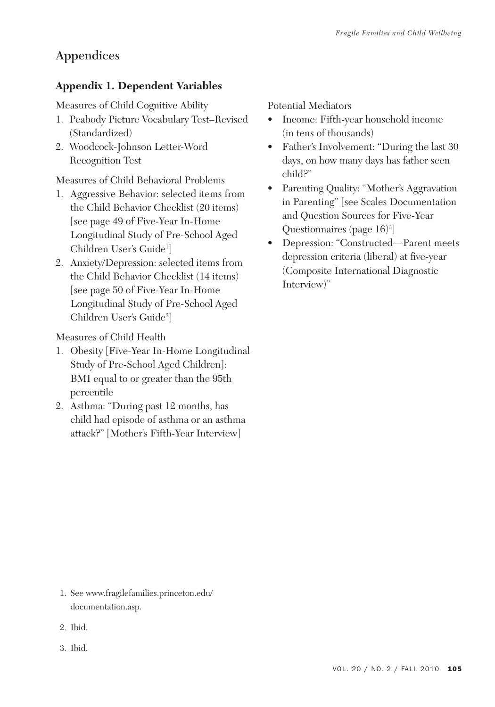## **Appendices**

## **Appendix 1. Dependent Variables**

Measures of Child Cognitive Ability

- 1. Peabody Picture Vocabulary Test–Revised (Standardized)
- 2. Woodcock-Johnson Letter-Word Recognition Test

Measures of Child Behavioral Problems

- 1. Aggressive Behavior: selected items from the Child Behavior Checklist (20 items) [see page 49 of Five-Year In-Home Longitudinal Study of Pre-School Aged Children User's Guide1 ]
- 2. Anxiety/Depression: selected items from the Child Behavior Checklist (14 items) [see page 50 of Five-Year In-Home Longitudinal Study of Pre-School Aged Children User's Guide2 ]

Measures of Child Health

- 1. Obesity [Five-Year In-Home Longitudinal Study of Pre-School Aged Children]: BMI equal to or greater than the 95th percentile
- 2. Asthma: "During past 12 months, has child had episode of asthma or an asthma attack?" [Mother's Fifth-Year Interview]

Potential Mediators

- Income: Fifth-year household income (in tens of thousands)
- Father's Involvement: "During the last 30 days, on how many days has father seen child?"
- Parenting Quality: "Mother's Aggravation in Parenting" [see Scales Documentation and Question Sources for Five-Year Questionnaires (page 16)<sup>3</sup>]
- Depression: "Constructed—Parent meets depression criteria (liberal) at five-year (Composite International Diagnostic Interview)"

- 1. See www.fragilefamilies.princeton.edu/ documentation.asp.
- 2. Ibid.
- 3. Ibid.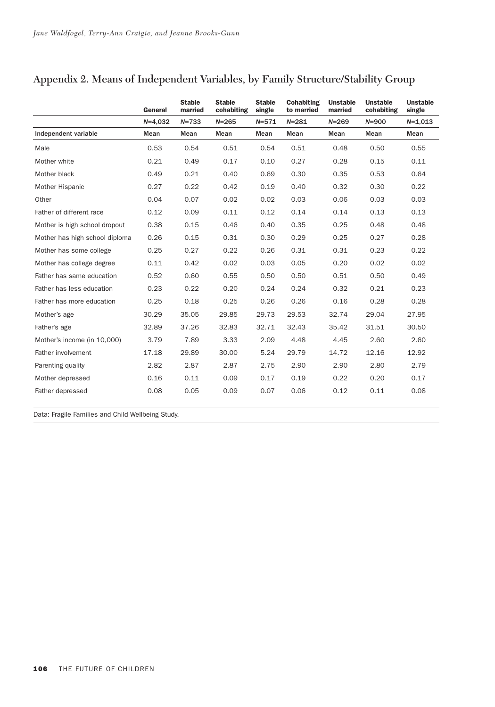#### **Appendix 2. Means of Independent Variables, by Family Structure/Stability Group**

|                                | General   | <b>Stable</b><br>married | <b>Stable</b><br>cohabiting | <b>Stable</b><br>single | Cohabiting<br>to married | <b>Unstable</b><br>married | <b>Unstable</b><br>cohabiting | <b>Unstable</b><br>single |
|--------------------------------|-----------|--------------------------|-----------------------------|-------------------------|--------------------------|----------------------------|-------------------------------|---------------------------|
|                                | $N=4.032$ | $N = 733$                | $N = 265$                   | $N = 571$               | $N = 281$                | $N = 269$                  | $N = 900$                     | $N=1,013$                 |
| Independent variable           | Mean      | Mean                     | Mean                        | Mean                    | Mean                     | Mean                       | Mean                          | Mean                      |
| Male                           | 0.53      | 0.54                     | 0.51                        | 0.54                    | 0.51                     | 0.48                       | 0.50                          | 0.55                      |
| Mother white                   | 0.21      | 0.49                     | 0.17                        | 0.10                    | 0.27                     | 0.28                       | 0.15                          | 0.11                      |
| Mother black                   | 0.49      | 0.21                     | 0.40                        | 0.69                    | 0.30                     | 0.35                       | 0.53                          | 0.64                      |
| Mother Hispanic                | 0.27      | 0.22                     | 0.42                        | 0.19                    | 0.40                     | 0.32                       | 0.30                          | 0.22                      |
| Other                          | 0.04      | 0.07                     | 0.02                        | 0.02                    | 0.03                     | 0.06                       | 0.03                          | 0.03                      |
| Father of different race       | 0.12      | 0.09                     | 0.11                        | 0.12                    | 0.14                     | 0.14                       | 0.13                          | 0.13                      |
| Mother is high school dropout  | 0.38      | 0.15                     | 0.46                        | 0.40                    | 0.35                     | 0.25                       | 0.48                          | 0.48                      |
| Mother has high school diploma | 0.26      | 0.15                     | 0.31                        | 0.30                    | 0.29                     | 0.25                       | 0.27                          | 0.28                      |
| Mother has some college        | 0.25      | 0.27                     | 0.22                        | 0.26                    | 0.31                     | 0.31                       | 0.23                          | 0.22                      |
| Mother has college degree      | 0.11      | 0.42                     | 0.02                        | 0.03                    | 0.05                     | 0.20                       | 0.02                          | 0.02                      |
| Father has same education      | 0.52      | 0.60                     | 0.55                        | 0.50                    | 0.50                     | 0.51                       | 0.50                          | 0.49                      |
| Father has less education      | 0.23      | 0.22                     | 0.20                        | 0.24                    | 0.24                     | 0.32                       | 0.21                          | 0.23                      |
| Father has more education      | 0.25      | 0.18                     | 0.25                        | 0.26                    | 0.26                     | 0.16                       | 0.28                          | 0.28                      |
| Mother's age                   | 30.29     | 35.05                    | 29.85                       | 29.73                   | 29.53                    | 32.74                      | 29.04                         | 27.95                     |
| Father's age                   | 32.89     | 37.26                    | 32.83                       | 32.71                   | 32.43                    | 35.42                      | 31.51                         | 30.50                     |
| Mother's income (in 10,000)    | 3.79      | 7.89                     | 3.33                        | 2.09                    | 4.48                     | 4.45                       | 2.60                          | 2.60                      |
| Father involvement             | 17.18     | 29.89                    | 30.00                       | 5.24                    | 29.79                    | 14.72                      | 12.16                         | 12.92                     |
| Parenting quality              | 2.82      | 2.87                     | 2.87                        | 2.75                    | 2.90                     | 2.90                       | 2.80                          | 2.79                      |
| Mother depressed               | 0.16      | 0.11                     | 0.09                        | 0.17                    | 0.19                     | 0.22                       | 0.20                          | 0.17                      |
| Father depressed               | 0.08      | 0.05                     | 0.09                        | 0.07                    | 0.06                     | 0.12                       | 0.11                          | 0.08                      |

Data: Fragile Families and Child Wellbeing Study.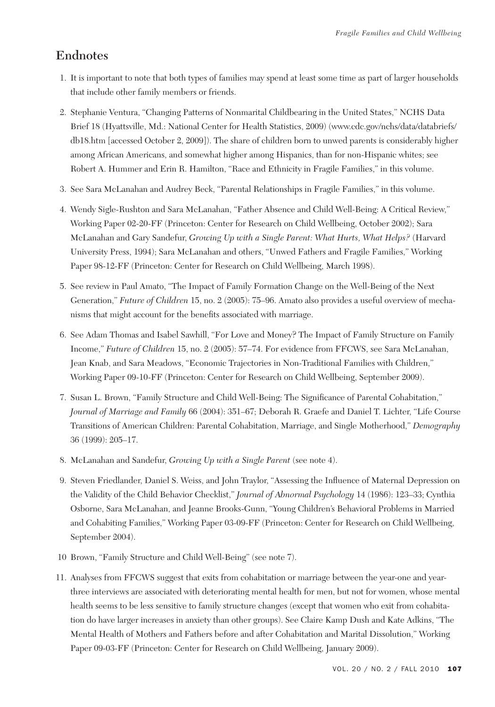## **Endnotes**

- 1. It is important to note that both types of families may spend at least some time as part of larger households that include other family members or friends.
- 2. Stephanie Ventura, "Changing Patterns of Nonmarital Childbearing in the United States," NCHS Data Brief 18 (Hyattsville, Md.: National Center for Health Statistics, 2009) (www.cdc.gov/nchs/data/databriefs/ db18.htm [accessed October 2, 2009]). The share of children born to unwed parents is considerably higher among African Americans, and somewhat higher among Hispanics, than for non-Hispanic whites; see Robert A. Hummer and Erin R. Hamilton, "Race and Ethnicity in Fragile Families," in this volume.
- 3. See Sara McLanahan and Audrey Beck, "Parental Relationships in Fragile Families," in this volume.
- 4. Wendy Sigle-Rushton and Sara McLanahan, "Father Absence and Child Well-Being: A Critical Review," Working Paper 02-20-FF (Princeton: Center for Research on Child Wellbeing, October 2002); Sara McLanahan and Gary Sandefur, *Growing Up with a Single Parent: What Hurts, What Helps?* (Harvard University Press, 1994); Sara McLanahan and others, "Unwed Fathers and Fragile Families," Working Paper 98-12-FF (Princeton: Center for Research on Child Wellbeing, March 1998).
- 5. See review in Paul Amato, "The Impact of Family Formation Change on the Well-Being of the Next Generation," *Future of Children* 15, no. 2 (2005): 75–96. Amato also provides a useful overview of mechanisms that might account for the benefits associated with marriage.
- 6. See Adam Thomas and Isabel Sawhill, "For Love and Money? The Impact of Family Structure on Family Income," *Future of Children* 15, no. 2 (2005): 57–74. For evidence from FFCWS, see Sara McLanahan, Jean Knab, and Sara Meadows, "Economic Trajectories in Non-Traditional Families with Children," Working Paper 09-10-FF (Princeton: Center for Research on Child Wellbeing, September 2009).
- 7. Susan L. Brown, "Family Structure and Child Well-Being: The Significance of Parental Cohabitation," *Journal of Marriage and Family* 66 (2004): 351–67; Deborah R. Graefe and Daniel T. Lichter, "Life Course Transitions of American Children: Parental Cohabitation, Marriage, and Single Motherhood," *Demography* 36 (1999): 205–17.
- 8. McLanahan and Sandefur, *Growing Up with a Single Parent* (see note 4).
- 9. Steven Friedlander, Daniel S. Weiss, and John Traylor, "Assessing the Influence of Maternal Depression on the Validity of the Child Behavior Checklist," *Journal of Abnormal Psychology* 14 (1986): 123–33; Cynthia Osborne, Sara McLanahan, and Jeanne Brooks-Gunn, "Young Children's Behavioral Problems in Married and Cohabiting Families," Working Paper 03-09-FF (Princeton: Center for Research on Child Wellbeing, September 2004).
- 10 Brown, "Family Structure and Child Well-Being" (see note 7).
- 11. Analyses from FFCWS suggest that exits from cohabitation or marriage between the year-one and yearthree interviews are associated with deteriorating mental health for men, but not for women, whose mental health seems to be less sensitive to family structure changes (except that women who exit from cohabitation do have larger increases in anxiety than other groups). See Claire Kamp Dush and Kate Adkins, "The Mental Health of Mothers and Fathers before and after Cohabitation and Marital Dissolution," Working Paper 09-03-FF (Princeton: Center for Research on Child Wellbeing, January 2009).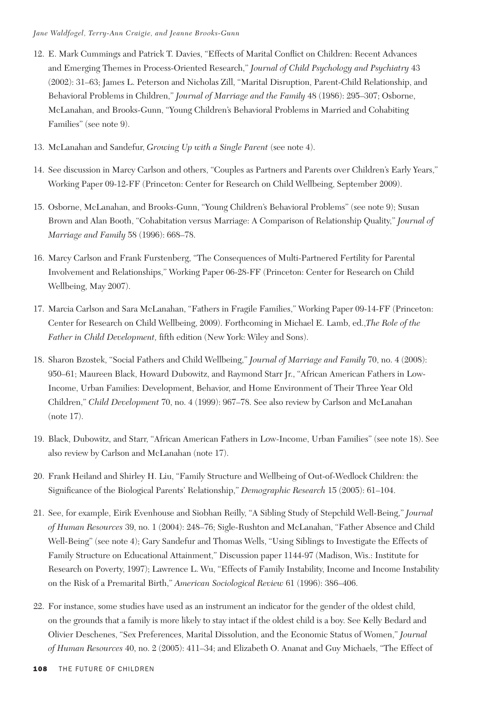- 12. E. Mark Cummings and Patrick T. Davies, "Effects of Marital Conflict on Children: Recent Advances and Emerging Themes in Process-Oriented Research," *Journal of Child Psychology and Psychiatry* 43 (2002): 31–63; James L. Peterson and Nicholas Zill, "Marital Disruption, Parent-Child Relationship, and Behavioral Problems in Children," *Journal of Marriage and the Family* 48 (1986): 295–307; Osborne, McLanahan, and Brooks-Gunn, "Young Children's Behavioral Problems in Married and Cohabiting Families" (see note 9).
- 13. McLanahan and Sandefur, *Growing Up with a Single Parent* (see note 4).
- 14. See discussion in Marcy Carlson and others, "Couples as Partners and Parents over Children's Early Years," Working Paper 09-12-FF (Princeton: Center for Research on Child Wellbeing, September 2009).
- 15. Osborne, McLanahan, and Brooks-Gunn, "Young Children's Behavioral Problems" (see note 9); Susan Brown and Alan Booth, "Cohabitation versus Marriage: A Comparison of Relationship Quality," *Journal of Marriage and Family* 58 (1996): 668–78.
- 16. Marcy Carlson and Frank Furstenberg, "The Consequences of Multi-Partnered Fertility for Parental Involvement and Relationships," Working Paper 06-28-FF (Princeton: Center for Research on Child Wellbeing, May 2007).
- 17. Marcia Carlson and Sara McLanahan, "Fathers in Fragile Families," Working Paper 09-14-FF (Princeton: Center for Research on Child Wellbeing, 2009). Forthcoming in Michael E. Lamb, ed.,*The Role of the Father in Child Development,* fifth edition (New York: Wiley and Sons).
- 18. Sharon Bzostek, "Social Fathers and Child Wellbeing," *Journal of Marriage and Family* 70, no. 4 (2008): 950–61; Maureen Black, Howard Dubowitz, and Raymond Starr Jr., "African American Fathers in Low-Income, Urban Families: Development, Behavior, and Home Environment of Their Three Year Old Children," *Child Development* 70, no. 4 (1999): 967–78. See also review by Carlson and McLanahan (note 17).
- 19. Black, Dubowitz, and Starr, "African American Fathers in Low-Income, Urban Families" (see note 18). See also review by Carlson and McLanahan (note 17).
- 20. Frank Heiland and Shirley H. Liu, "Family Structure and Wellbeing of Out-of-Wedlock Children: the Significance of the Biological Parents' Relationship," *Demographic Research* 15 (2005): 61–104.
- 21. See, for example, Eirik Evenhouse and Siobhan Reilly, "A Sibling Study of Stepchild Well-Being," *Journal of Human Resources* 39, no. 1 (2004): 248–76; Sigle-Rushton and McLanahan, "Father Absence and Child Well-Being" (see note 4); Gary Sandefur and Thomas Wells, "Using Siblings to Investigate the Effects of Family Structure on Educational Attainment," Discussion paper 1144-97 (Madison, Wis.: Institute for Research on Poverty, 1997); Lawrence L. Wu, "Effects of Family Instability, Income and Income Instability on the Risk of a Premarital Birth," *American Sociological Review* 61 (1996): 386–406.
- 22. For instance, some studies have used as an instrument an indicator for the gender of the oldest child, on the grounds that a family is more likely to stay intact if the oldest child is a boy. See Kelly Bedard and Olivier Deschenes, "Sex Preferences, Marital Dissolution, and the Economic Status of Women," *Journal of Human Resources* 40, no. 2 (2005): 411–34; and Elizabeth O. Ananat and Guy Michaels, "The Effect of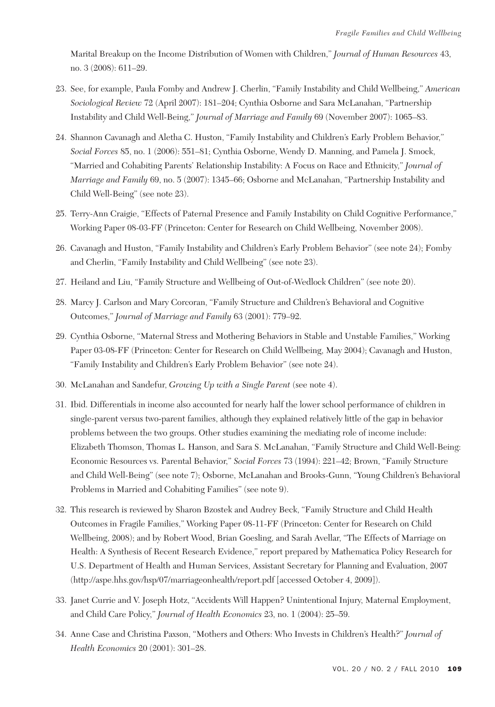Marital Breakup on the Income Distribution of Women with Children," *Journal of Human Resources* 43, no. 3 (2008): 611–29.

- 23. See, for example, Paula Fomby and Andrew J. Cherlin, "Family Instability and Child Wellbeing," *American Sociological Review* 72 (April 2007): 181–204; Cynthia Osborne and Sara McLanahan, "Partnership Instability and Child Well-Being," *Journal of Marriage and Family* 69 (November 2007): 1065–83.
- 24. Shannon Cavanagh and Aletha C. Huston, "Family Instability and Children's Early Problem Behavior," *Social Forces* 85, no. 1 (2006): 551–81; Cynthia Osborne, Wendy D. Manning, and Pamela J. Smock, "Married and Cohabiting Parents' Relationship Instability: A Focus on Race and Ethnicity," *Journal of Marriage and Family* 69, no. 5 (2007): 1345–66; Osborne and McLanahan, "Partnership Instability and Child Well-Being" (see note 23).
- 25. Terry-Ann Craigie, "Effects of Paternal Presence and Family Instability on Child Cognitive Performance," Working Paper 08-03-FF (Princeton: Center for Research on Child Wellbeing, November 2008).
- 26. Cavanagh and Huston, "Family Instability and Children's Early Problem Behavior" (see note 24); Fomby and Cherlin, "Family Instability and Child Wellbeing" (see note 23).
- 27. Heiland and Liu, "Family Structure and Wellbeing of Out-of-Wedlock Children" (see note 20).
- 28. Marcy J. Carlson and Mary Corcoran, "Family Structure and Children's Behavioral and Cognitive Outcomes," *Journal of Marriage and Family* 63 (2001): 779–92.
- 29. Cynthia Osborne, "Maternal Stress and Mothering Behaviors in Stable and Unstable Families," Working Paper 03-08-FF (Princeton: Center for Research on Child Wellbeing, May 2004); Cavanagh and Huston, "Family Instability and Children's Early Problem Behavior" (see note 24).
- 30. McLanahan and Sandefur, *Growing Up with a Single Parent* (see note 4).
- 31. Ibid. Differentials in income also accounted for nearly half the lower school performance of children in single-parent versus two-parent families, although they explained relatively little of the gap in behavior problems between the two groups. Other studies examining the mediating role of income include: Elizabeth Thomson, Thomas L. Hanson, and Sara S. McLanahan, "Family Structure and Child Well-Being: Economic Resources vs. Parental Behavior," *Social Forces* 73 (1994): 221–42; Brown, "Family Structure and Child Well-Being" (see note 7); Osborne, McLanahan and Brooks-Gunn, "Young Children's Behavioral Problems in Married and Cohabiting Families" (see note 9).
- 32. This research is reviewed by Sharon Bzostek and Audrey Beck, "Family Structure and Child Health Outcomes in Fragile Families," Working Paper 08-11-FF (Princeton: Center for Research on Child Wellbeing, 2008); and by Robert Wood, Brian Goesling, and Sarah Avellar, "The Effects of Marriage on Health: A Synthesis of Recent Research Evidence," report prepared by Mathematica Policy Research for U.S. Department of Health and Human Services, Assistant Secretary for Planning and Evaluation, 2007 (http://aspe.hhs.gov/hsp/07/marriageonhealth/report.pdf [accessed October 4, 2009]).
- 33. Janet Currie and V. Joseph Hotz, "Accidents Will Happen? Unintentional Injury, Maternal Employment, and Child Care Policy," *Journal of Health Economics* 23, no. 1 (2004): 25–59.
- 34. Anne Case and Christina Paxson, "Mothers and Others: Who Invests in Children's Health?" *Journal of Health Economics* 20 (2001): 301–28.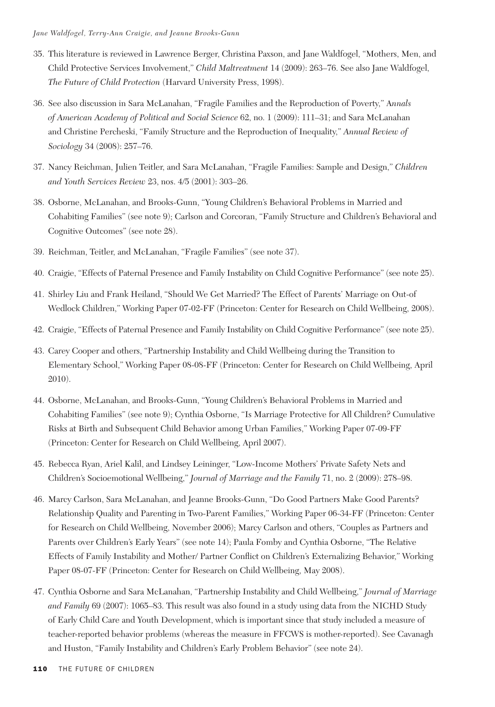- 35. This literature is reviewed in Lawrence Berger, Christina Paxson, and Jane Waldfogel, "Mothers, Men, and Child Protective Services Involvement," *Child Maltreatment* 14 (2009): 263–76. See also Jane Waldfogel, *The Future of Child Protection* (Harvard University Press, 1998).
- 36. See also discussion in Sara McLanahan, "Fragile Families and the Reproduction of Poverty," A*nnals of American Academy of Political and Social Science* 62, no. 1 (2009): 111–31; and Sara McLanahan and Christine Percheski, "Family Structure and the Reproduction of Inequality," *Annual Review of Sociology* 34 (2008): 257–76.
- 37. Nancy Reichman, Julien Teitler, and Sara McLanahan, "Fragile Families: Sample and Design," *Children and Youth Services Review* 23, nos. 4/5 (2001): 303–26.
- 38. Osborne, McLanahan, and Brooks-Gunn, "Young Children's Behavioral Problems in Married and Cohabiting Families" (see note 9); Carlson and Corcoran, "Family Structure and Children's Behavioral and Cognitive Outcomes" (see note 28).
- 39. Reichman, Teitler, and McLanahan, "Fragile Families" (see note 37).
- 40. Craigie, "Effects of Paternal Presence and Family Instability on Child Cognitive Performance" (see note 25).
- 41. Shirley Liu and Frank Heiland, "Should We Get Married? The Effect of Parents' Marriage on Out-of Wedlock Children," Working Paper 07-02-FF (Princeton: Center for Research on Child Wellbeing, 2008).
- 42. Craigie, "Effects of Paternal Presence and Family Instability on Child Cognitive Performance" (see note 25).
- 43. Carey Cooper and others, "Partnership Instability and Child Wellbeing during the Transition to Elementary School," Working Paper 08-08-FF (Princeton: Center for Research on Child Wellbeing, April 2010).
- 44. Osborne, McLanahan, and Brooks-Gunn, "Young Children's Behavioral Problems in Married and Cohabiting Families" (see note 9); Cynthia Osborne, "Is Marriage Protective for All Children? Cumulative Risks at Birth and Subsequent Child Behavior among Urban Families," Working Paper 07-09-FF (Princeton: Center for Research on Child Wellbeing, April 2007).
- 45. Rebecca Ryan, Ariel Kalil, and Lindsey Leininger, "Low-Income Mothers' Private Safety Nets and Children's Socioemotional Wellbeing," *Journal of Marriage and the Family* 71, no. 2 (2009): 278–98.
- 46. Marcy Carlson, Sara McLanahan, and Jeanne Brooks-Gunn, "Do Good Partners Make Good Parents? Relationship Quality and Parenting in Two-Parent Families," Working Paper 06-34-FF (Princeton: Center for Research on Child Wellbeing, November 2006); Marcy Carlson and others, "Couples as Partners and Parents over Children's Early Years" (see note 14); Paula Fomby and Cynthia Osborne, "The Relative Effects of Family Instability and Mother/ Partner Conflict on Children's Externalizing Behavior," Working Paper 08-07-FF (Princeton: Center for Research on Child Wellbeing, May 2008).
- 47. Cynthia Osborne and Sara McLanahan, "Partnership Instability and Child Wellbeing," *Journal of Marriage and Family* 69 (2007): 1065–83. This result was also found in a study using data from the NICHD Study of Early Child Care and Youth Development, which is important since that study included a measure of teacher-reported behavior problems (whereas the measure in FFCWS is mother-reported). See Cavanagh and Huston, "Family Instability and Children's Early Problem Behavior" (see note 24).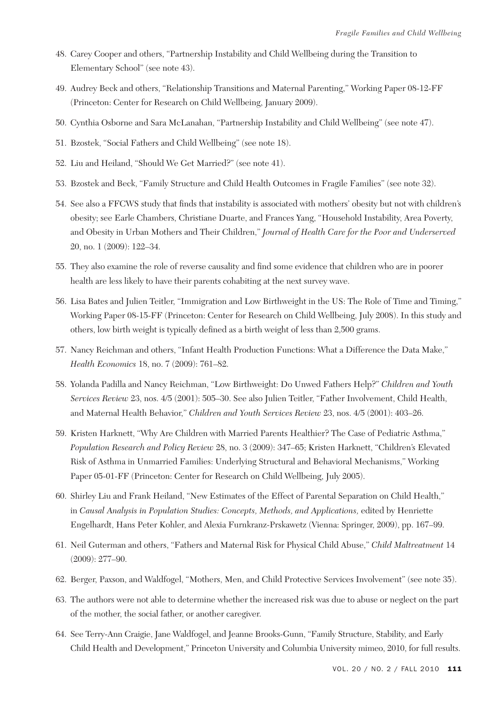- 48. Carey Cooper and others, "Partnership Instability and Child Wellbeing during the Transition to Elementary School" (see note 43).
- 49. Audrey Beck and others, "Relationship Transitions and Maternal Parenting," Working Paper 08-12-FF (Princeton: Center for Research on Child Wellbeing, January 2009).
- 50. Cynthia Osborne and Sara McLanahan, "Partnership Instability and Child Wellbeing" (see note 47).
- 51. Bzostek, "Social Fathers and Child Wellbeing" (see note 18).
- 52. Liu and Heiland, "Should We Get Married?" (see note 41).
- 53. Bzostek and Beck, "Family Structure and Child Health Outcomes in Fragile Families" (see note 32).
- 54. See also a FFCWS study that finds that instability is associated with mothers' obesity but not with children's obesity; see Earle Chambers, Christiane Duarte, and Frances Yang, "Household Instability, Area Poverty, and Obesity in Urban Mothers and Their Children," *Journal of Health Care for the Poor and Underserved*  20, no. 1 (2009): 122–34.
- 55. They also examine the role of reverse causality and find some evidence that children who are in poorer health are less likely to have their parents cohabiting at the next survey wave.
- 56. Lisa Bates and Julien Teitler, "Immigration and Low Birthweight in the US: The Role of Time and Timing," Working Paper 08-15-FF (Princeton: Center for Research on Child Wellbeing, July 2008). In this study and others, low birth weight is typically defined as a birth weight of less than 2,500 grams.
- 57. Nancy Reichman and others, "Infant Health Production Functions: What a Difference the Data Make," *Health Economics* 18, no. 7 (2009): 761–82.
- 58. Yolanda Padilla and Nancy Reichman, "Low Birthweight: Do Unwed Fathers Help?" *Children and Youth Services Review* 23, nos. 4/5 (2001): 505–30. See also Julien Teitler, "Father Involvement, Child Health, and Maternal Health Behavior," *Children and Youth Services Review* 23, nos. 4/5 (2001): 403–26.
- 59. Kristen Harknett, "Why Are Children with Married Parents Healthier? The Case of Pediatric Asthma," *Population Research and Policy Review* 28, no. 3 (2009): 347–65; Kristen Harknett, "Children's Elevated Risk of Asthma in Unmarried Families: Underlying Structural and Behavioral Mechanisms," Working Paper 05-01-FF (Princeton: Center for Research on Child Wellbeing, July 2005).
- 60. Shirley Liu and Frank Heiland, "New Estimates of the Effect of Parental Separation on Child Health," in *Causal Analysis in Population Studies: Concepts, Methods, and Applications,* edited by Henriette Engelhardt, Hans Peter Kohler, and Alexia Furnkranz-Prskawetz (Vienna: Springer, 2009), pp. 167–99.
- 61. Neil Guterman and others, "Fathers and Maternal Risk for Physical Child Abuse," *Child Maltreatment* 14 (2009): 277–90.
- 62. Berger, Paxson, and Waldfogel, "Mothers, Men, and Child Protective Services Involvement" (see note 35).
- 63. The authors were not able to determine whether the increased risk was due to abuse or neglect on the part of the mother, the social father, or another caregiver.
- 64. See Terry-Ann Craigie, Jane Waldfogel, and Jeanne Brooks-Gunn, "Family Structure, Stability, and Early Child Health and Development," Princeton University and Columbia University mimeo, 2010, for full results.